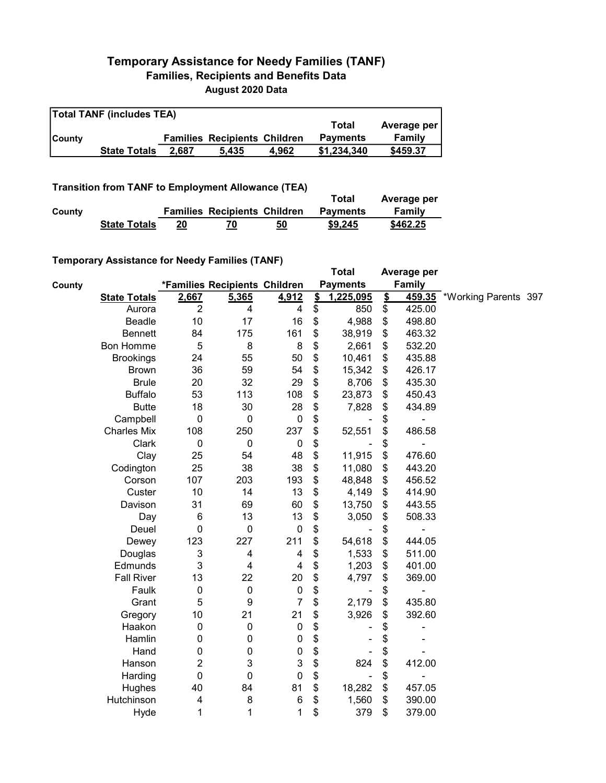## Temporary Assistance for Needy Families (TANF) Families, Recipients and Benefits Data August 2020 Data

| <b>Total TANF (includes TEA)</b> |                     |       |                                     |       |                 |             |  |  |  |
|----------------------------------|---------------------|-------|-------------------------------------|-------|-----------------|-------------|--|--|--|
|                                  |                     |       |                                     |       | Total           | Average per |  |  |  |
| <b>County</b>                    |                     |       | <b>Families Recipients Children</b> |       | <b>Payments</b> | Family      |  |  |  |
|                                  | <b>State Totals</b> | 2.687 | 5.435                               | 4.962 | \$1.234.340     | \$459.37    |  |  |  |

Transition from TANF to Employment Allowance (TEA)

|        | <b>Transition from TANF to Employment Allowance (TEA)</b> | Total | Average per                         |    |                 |          |
|--------|-----------------------------------------------------------|-------|-------------------------------------|----|-----------------|----------|
| County |                                                           |       | <b>Families Recipients Children</b> |    | <b>Payments</b> | Family   |
|        | <b>State Totals</b>                                       | 20    |                                     | 50 | \$9.245         | \$462.25 |

## Temporary Assistance for Needy Families (TANF)

|               | $\frac{1}{2}$ componently resolution to the contribution of the contribution of the contribution of the contribution of $\frac{1}{2}$ |                  |                               |                         |                         | <b>Total</b>    |                         | Average per   |                             |  |
|---------------|---------------------------------------------------------------------------------------------------------------------------------------|------------------|-------------------------------|-------------------------|-------------------------|-----------------|-------------------------|---------------|-----------------------------|--|
| <b>County</b> |                                                                                                                                       |                  | *Families Recipients Children |                         |                         | <b>Payments</b> |                         | <b>Family</b> |                             |  |
|               | <b>State Totals</b>                                                                                                                   | 2,667            | 5,365                         | 4,912                   | $\overline{\mathbf{S}}$ | 1,225,095       | $\overline{\mathbf{2}}$ |               | 459.35 *Working Parents 397 |  |
|               | Aurora                                                                                                                                | $\overline{2}$   | 4                             | 4                       | \$                      | 850             | \$                      | 425.00        |                             |  |
|               | <b>Beadle</b>                                                                                                                         | 10               | 17                            | 16                      | \$                      | 4,988           | \$                      | 498.80        |                             |  |
|               | <b>Bennett</b>                                                                                                                        | 84               | 175                           | 161                     | \$                      | 38,919          | \$                      | 463.32        |                             |  |
|               | Bon Homme                                                                                                                             | 5                | 8                             | 8                       | \$                      | 2,661           | \$                      | 532.20        |                             |  |
|               | <b>Brookings</b>                                                                                                                      | 24               | 55                            | 50                      | \$                      | 10,461          | \$                      | 435.88        |                             |  |
|               | <b>Brown</b>                                                                                                                          | 36               | 59                            | 54                      | \$                      | 15,342          | \$                      | 426.17        |                             |  |
|               | <b>Brule</b>                                                                                                                          | 20               | 32                            | 29                      | \$                      | 8,706           | \$                      | 435.30        |                             |  |
|               | <b>Buffalo</b>                                                                                                                        | 53               | 113                           | 108                     | \$                      | 23,873          | \$                      | 450.43        |                             |  |
|               | <b>Butte</b>                                                                                                                          | 18               | 30                            | 28                      | \$                      | 7,828           | \$                      | 434.89        |                             |  |
|               | Campbell                                                                                                                              | $\boldsymbol{0}$ | $\pmb{0}$                     | $\pmb{0}$               | \$                      |                 | \$                      | -             |                             |  |
|               | <b>Charles Mix</b>                                                                                                                    | 108              | 250                           | 237                     | \$                      | 52,551          | \$                      | 486.58        |                             |  |
|               | Clark                                                                                                                                 | $\pmb{0}$        | $\pmb{0}$                     | $\boldsymbol{0}$        | \$                      |                 | \$                      |               |                             |  |
|               | Clay                                                                                                                                  | 25               | 54                            | 48                      | \$                      | 11,915          | \$                      | 476.60        |                             |  |
|               | Codington                                                                                                                             | 25               | 38                            | 38                      | \$                      | 11,080          | \$                      | 443.20        |                             |  |
|               | Corson                                                                                                                                | 107              | 203                           | 193                     | \$                      | 48,848          | \$                      | 456.52        |                             |  |
|               | Custer                                                                                                                                | 10               | 14                            | 13                      | \$                      | 4,149           | \$                      | 414.90        |                             |  |
|               | Davison                                                                                                                               | 31               | 69                            | 60                      | \$                      | 13,750          | \$                      | 443.55        |                             |  |
|               | Day                                                                                                                                   | 6                | 13                            | 13                      | \$                      | 3,050           | \$                      | 508.33        |                             |  |
|               | Deuel                                                                                                                                 | $\mathbf 0$      | $\mathbf 0$                   | $\boldsymbol{0}$        | \$                      |                 | \$                      |               |                             |  |
|               | Dewey                                                                                                                                 | 123              | 227                           | 211                     | \$                      | 54,618          | \$                      | 444.05        |                             |  |
|               | Douglas                                                                                                                               | 3                | 4                             | $\overline{\mathbf{4}}$ | \$                      | 1,533           | \$                      | 511.00        |                             |  |
|               | Edmunds                                                                                                                               | 3                | 4                             | $\overline{\mathbf{4}}$ | \$                      | 1,203           | \$                      | 401.00        |                             |  |
|               | <b>Fall River</b>                                                                                                                     | 13               | 22                            | 20                      | \$                      | 4,797           | \$                      | 369.00        |                             |  |
|               | Faulk                                                                                                                                 | $\boldsymbol{0}$ | $\mathbf 0$                   | $\pmb{0}$               | \$                      | $\blacksquare$  | \$                      | -             |                             |  |
|               | Grant                                                                                                                                 | 5                | $\boldsymbol{9}$              | $\overline{7}$          | \$                      | 2,179           | \$                      | 435.80        |                             |  |
|               | Gregory                                                                                                                               | 10               | 21                            | 21                      | \$                      | 3,926           | \$                      | 392.60        |                             |  |
|               | Haakon                                                                                                                                | $\mathbf 0$      | $\mathbf 0$                   | $\pmb{0}$               | \$                      |                 | \$                      |               |                             |  |
|               | Hamlin                                                                                                                                | 0                | $\pmb{0}$                     | 0                       | \$                      |                 | \$                      |               |                             |  |
|               | Hand                                                                                                                                  | 0                | 0                             | 0                       | \$                      |                 | \$                      |               |                             |  |
|               | Hanson                                                                                                                                | $\boldsymbol{2}$ | 3                             | 3                       | \$                      | 824             | \$                      | 412.00        |                             |  |
|               | Harding                                                                                                                               | $\mathbf 0$      | $\mathbf 0$                   | 0                       | \$                      | $\blacksquare$  | \$                      | -             |                             |  |
|               | Hughes                                                                                                                                | 40               | 84                            | 81                      | \$                      | 18,282          | \$                      | 457.05        |                             |  |
|               | Hutchinson                                                                                                                            | 4                | 8                             | 6                       | \$                      | 1,560           | \$                      | 390.00        |                             |  |
|               | Hyde                                                                                                                                  | 1                | 1                             | 1                       | \$                      | 379             | \$                      | 379.00        |                             |  |